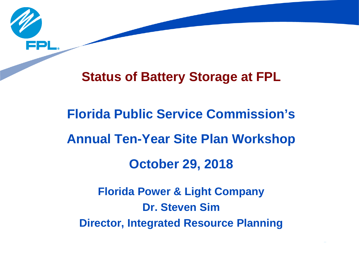

# **Status of Battery Storage at FPL**

# **Florida Power & Light Company Dr. Steven Sim Florida Public Service Commission's Annual Ten-Year Site Plan Workshop October 29, 2018**

**Director, Integrated Resource Planning**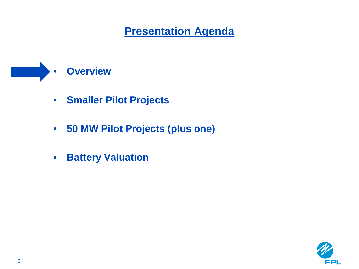# • **Overview**

- **Smaller Pilot Projects**
- **50 MW Pilot Projects (plus one)**
- **Battery Valuation**

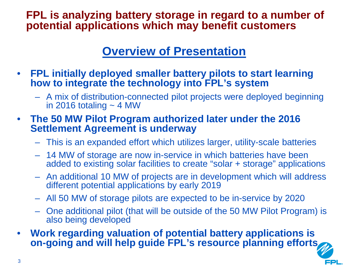#### **FPL is analyzing battery storage in regard to a number of potential applications which may benefit customers**

### **Overview of Presentation**

- **FPL initially deployed smaller battery pilots to start learning how to integrate the technology into FPL's system** 
	- A mix of distribution-connected pilot projects were deployed beginning in 2016 totaling  $\sim$  4 MW
- **The 50 MW Pilot Program authorized later under the 2016 Settlement Agreement is underway** 
	- This is an expanded effort which utilizes larger, utility-scale batteries
	- 14 MW of storage are now in-service in which batteries have been added to existing solar facilities to create "solar + storage" applications
	- An additional 10 MW of projects are in development which will address different potential applications by early 2019
	- All 50 MW of storage pilots are expected to be in-service by 2020
	- One additional pilot (that will be outside of the 50 MW Pilot Program) is also being developed
- **Work regarding valuation of potential battery applications is on-going and will help guide FPL's resource planning efforts**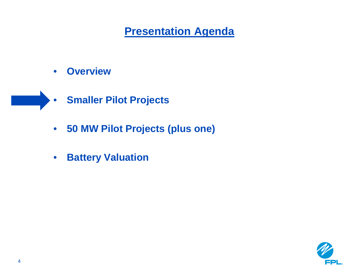- **Overview**
- **Smaller Pilot Projects**
	- **50 MW Pilot Projects (plus one)**
	- **Battery Valuation**

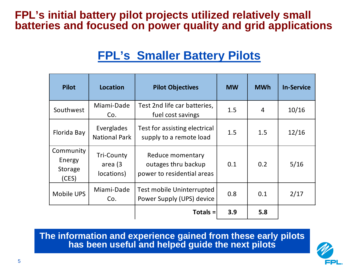#### **FPL's initial battery pilot projects utilized relatively small batteries and focused on power quality and grid applications**

## **FPL's Smaller Battery Pilots**

| <b>Pilot</b>                            | Location                                   | <b>Pilot Objectives</b>                                               | <b>MW</b> | <b>MWh</b> | <b>In-Service</b> |
|-----------------------------------------|--------------------------------------------|-----------------------------------------------------------------------|-----------|------------|-------------------|
| Southwest                               | Miami-Dade<br>Co.                          | Test 2nd life car batteries,<br>fuel cost savings                     | 1.5       | 4          | 10/16             |
| Florida Bay                             | Everglades<br><b>National Park</b>         | Test for assisting electrical<br>supply to a remote load              | 1.5       | 1.5        | 12/16             |
| Community<br>Energy<br>Storage<br>(CES) | <b>Tri-County</b><br>area (3<br>locations) | Reduce momentary<br>outages thru backup<br>power to residential areas | 0.1       | 0.2        | 5/16              |
| <b>Mobile UPS</b>                       | Miami-Dade<br>Co.                          | <b>Test mobile Uninterrupted</b><br>Power Supply (UPS) device         | 0.8       | 0.1        | 2/17              |
|                                         |                                            | Totals $=$                                                            | 3.9       | 5.8        |                   |

**The information and experience gained from these early pilots has been useful and helped guide the next pilots**

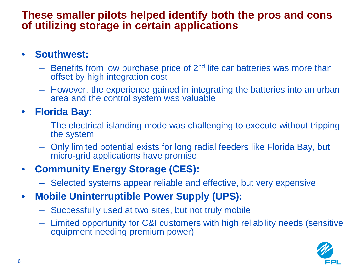#### **These smaller pilots helped identify both the pros and cons of utilizing storage in certain applications**

#### • **Southwest:**

- Benefits from low purchase price of  $2<sup>nd</sup>$  life car batteries was more than offset by high integration cost
- However, the experience gained in integrating the batteries into an urban area and the control system was valuable

#### • **Florida Bay:**

- The electrical islanding mode was challenging to execute without tripping the system
- Only limited potential exists for long radial feeders like Florida Bay, but micro-grid applications have promise

### • **Community Energy Storage (CES):**

- Selected systems appear reliable and effective, but very expensive
- **Mobile Uninterruptible Power Supply (UPS):** 
	- Successfully used at two sites, but not truly mobile
	- Limited opportunity for C&I customers with high reliability needs (sensitive equipment needing premium power)

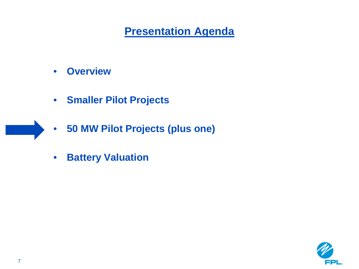- **Overview**
- **Smaller Pilot Projects**
- **50 MW Pilot Projects (plus one)**
- **Battery Valuation**

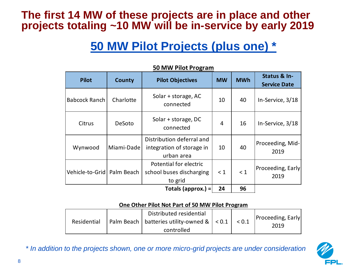#### **The first 14 MW of these projects are in place and other projects totaling ~10 MW will be in-service by early 2019**

### **50 MW Pilot Projects (plus one) \***

| .                            |               |                                                                      |           |            |                                     |
|------------------------------|---------------|----------------------------------------------------------------------|-----------|------------|-------------------------------------|
| <b>Pilot</b>                 | <b>County</b> | <b>Pilot Objectives</b>                                              | <b>MW</b> | <b>MWh</b> | Status & In-<br><b>Service Date</b> |
| <b>Babcock Ranch</b>         | Charlotte     | Solar + storage, AC<br>connected                                     | 10        | 40         | In-Service, 3/18                    |
| Citrus                       | DeSoto        | Solar + storage, DC<br>connected                                     | 4         | 16         | In-Service, 3/18                    |
| Wynwood                      | Miami-Dade    | Distribution deferral and<br>integration of storage in<br>urban area |           | 40         | Proceeding, Mid-<br>2019            |
| Vehicle-to-Grid   Palm Beach |               | Potential for electric<br>school buses discharging<br>to grid        |           | $\leq 1$   | Proceeding, Early<br>2019           |
| Totals (approx.) $=$         |               |                                                                      | 24        | 96         |                                     |

**50 MW Pilot Program**

#### **One Other Pilot Not Part of 50 MW Pilot Program**

| Residential |  | Distributed residential<br>Palm Beach   batteries utility-owned & $ $ < 0.1 $ $ < 0.1 |  | <b>Proceeding, Early</b><br>2019 |
|-------------|--|---------------------------------------------------------------------------------------|--|----------------------------------|
| controlled  |  |                                                                                       |  |                                  |



*\* In addition to the projects shown, one or more micro-grid projects are under consideration*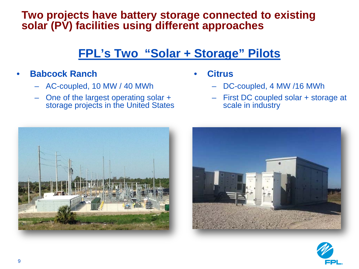#### **Two projects have battery storage connected to existing solar (PV) facilities using different approaches**

### **FPL's Two "Solar + Storage" Pilots**

#### • **Babcock Ranch**

- AC-coupled, 10 MW / 40 MWh
- One of the largest operating solar + storage projects in the United States
- **Citrus** 
	- DC-coupled, 4 MW /16 MWh
	- First DC coupled solar + storage at scale in industry





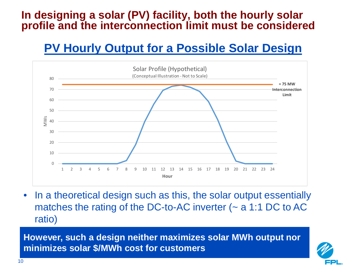#### **In designing a solar (PV) facility, both the hourly solar profile and the interconnection limit must be considered**

### **PV Hourly Output for a Possible Solar Design**



• In a theoretical design such as this, the solar output essentially matches the rating of the DC-to-AC inverter  $($   $\sim$  a 1:1 DC to AC ratio)

**However, such a design neither maximizes solar MWh output nor minimizes solar \$/MWh cost for customers**

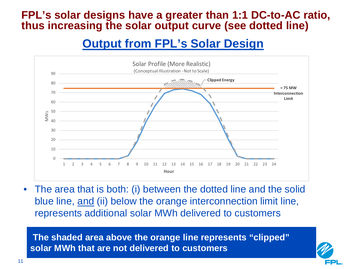#### **FPL's solar designs have a greater than 1:1 DC-to-AC ratio, thus increasing the solar output curve (see dotted line)**

### **Output from FPL's Solar Design**



• The area that is both: (i) between the dotted line and the solid blue line, and (ii) below the orange interconnection limit line, represents additional solar MWh delivered to customers

**The shaded area above the orange line represents "clipped" solar MWh that are not delivered to customers**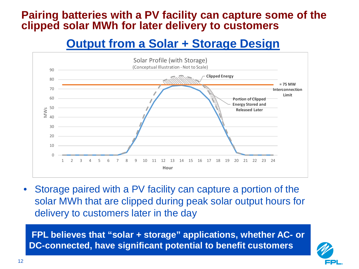#### **Pairing batteries with a PV facility can capture some of the clipped solar MWh for later delivery to customers**

### **Output from a Solar + Storage Design**



• Storage paired with a PV facility can capture a portion of the solar MWh that are clipped during peak solar output hours for delivery to customers later in the day

**FPL believes that "solar + storage" applications, whether AC- or DC-connected, have significant potential to benefit customers**

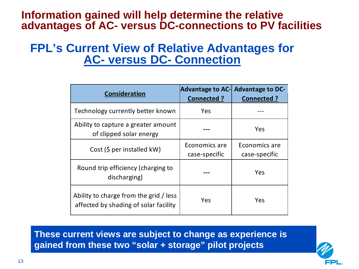#### **Information gained will help determine the relative advantages of AC- versus DC-connections to PV facilities**

### **FPL's Current View of Relative Advantages for AC- versus DC- Connection**

|                                                                                 |                                | Advantage to AC- Advantage to DC- |
|---------------------------------------------------------------------------------|--------------------------------|-----------------------------------|
| <b>Consideration</b>                                                            | <b>Connected?</b>              | Connected ?                       |
| Technology currently better known                                               | Yes                            |                                   |
| Ability to capture a greater amount<br>of clipped solar energy                  |                                | Yes                               |
| Cost (\$ per installed kW)                                                      | Economics are<br>case-specific | Economics are<br>case-specific    |
| Round trip efficiency (charging to<br>discharging)                              |                                | Yes                               |
| Ability to charge from the grid / less<br>affected by shading of solar facility | Yes                            | Yes                               |

**These current views are subject to change as experience is gained from these two "solar + storage" pilot projects**

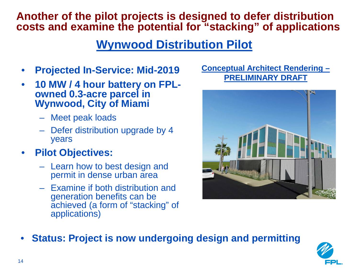#### **Another of the pilot projects is designed to defer distribution costs and examine the potential for "stacking" of applications**

### **Wynwood Distribution Pilot**

- **Projected In-Service: Mid-2019**
- **10 MW / 4 hour battery on FPL- owned 0.3-acre parcel in Wynwood, City of Miami**
	- Meet peak loads
	- Defer distribution upgrade by 4 years
- **Pilot Objectives:**
	- Learn how to best design and permit in dense urban area
	- Examine if both distribution and generation benefits can be achieved (a form of "stacking" of applications)

**Conceptual Architect Rendering – PRELIMINARY DRAFT**



• **Status: Project is now undergoing design and permitting**

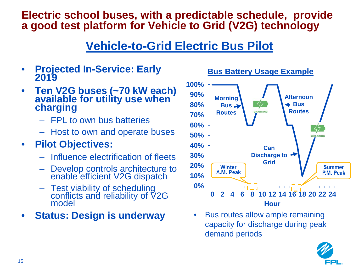#### **Electric school buses, with a predictable schedule, provide a good test platform for Vehicle to Grid (V2G) technology**

### **Vehicle-to-Grid Electric Bus Pilot**

- **Projected In-Service: Early 2019**
- **Ten V2G buses (~70 kW each) available for utility use when charging**
	- FPL to own bus batteries
	- Host to own and operate buses

### • **Pilot Objectives:**

- Influence electrification of fleets
- Develop controls architecture to enable efficient V2G dispatch
- Test viability of scheduling conflicts and reliability of V2G model

### • **Status: Design is underway**



**Bus Battery Usage Example**

• Bus routes allow ample remaining capacity for discharge during peak demand periods

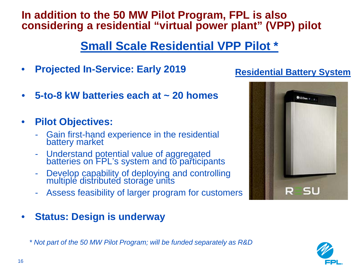#### **In addition to the 50 MW Pilot Program, FPL is also considering a residential "virtual power plant" (VPP) pilot**

### **Small Scale Residential VPP Pilot \***

- **Projected In-Service: Early 2019**
- **5-to-8 kW batteries each at ~ 20 homes**

• **Pilot Objectives:**

- Gain first-hand experience in the residential battery market
- Understand potential value of aggregated batteries on FPL's system and to participants
- Develop capability of deploying and controlling multiple distributed storage units
- Assess feasibility of larger program for customers
- **Status: Design is underway**

*\* Not part of the 50 MW Pilot Program; will be funded separately as R&D*



**Residential Battery System**

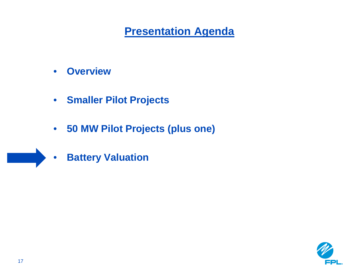- **Overview**
- **Smaller Pilot Projects**
- **50 MW Pilot Projects (plus one)**
- **Battery Valuation**

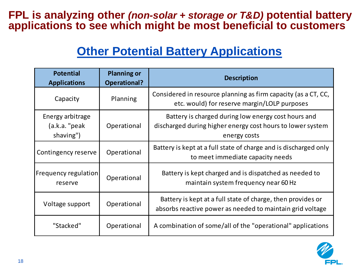#### **FPL is analyzing other** *(non-solar + storage or T&D)* **potential battery applications to see which might be most beneficial to customers**

### **Other Potential Battery Applications**

| <b>Potential</b><br><b>Applications</b>        | <b>Planning or</b><br><b>Operational?</b> | <b>Description</b>                                                                                                                |
|------------------------------------------------|-------------------------------------------|-----------------------------------------------------------------------------------------------------------------------------------|
| Capacity                                       | Planning                                  | Considered in resource planning as firm capacity (as a CT, CC,<br>etc. would) for reserve margin/LOLP purposes                    |
| Energy arbitrage<br>(a.k.a. "peak<br>shaving") | Operational                               | Battery is charged during low energy cost hours and<br>discharged during higher energy cost hours to lower system<br>energy costs |
| Contingency reserve                            | Operational                               | Battery is kept at a full state of charge and is discharged only<br>to meet immediate capacity needs                              |
| Frequency regulation<br>reserve                | Operational                               | Battery is kept charged and is dispatched as needed to<br>maintain system frequency near 60 Hz                                    |
| Voltage support                                | Operational                               | Battery is kept at a full state of charge, then provides or<br>absorbs reactive power as needed to maintain grid voltage          |
| "Stacked"                                      | Operational                               | A combination of some/all of the "operational" applications                                                                       |